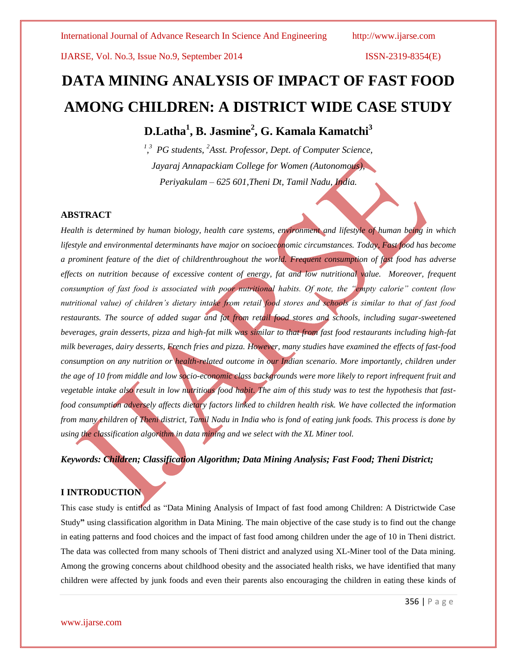# **DATA MINING ANALYSIS OF IMPACT OF FAST FOOD AMONG CHILDREN: A DISTRICT WIDE CASE STUDY**

**D.Latha<sup>1</sup> , B. Jasmine<sup>2</sup> , G. Kamala Kamatchi<sup>3</sup>**

*1 , 3 PG students, <sup>2</sup>Asst. Professor, Dept. of Computer Science, Jayaraj Annapackiam College for Women (Autonomous), Periyakulam – 625 601,Theni Dt, Tamil Nadu, India.*

### **ABSTRACT**

*Health is determined by human biology, health care systems, environment and lifestyle of human being in which lifestyle and environmental determinants have major on socioeconomic circumstances. Today, Fast food has become a prominent feature of the diet of childrenthroughout the world. Frequent consumption of fast food has adverse effects on nutrition because of excessive content of energy, fat and low nutritional value. Moreover, frequent consumption of fast food is associated with poor nutritional habits. Of note, the "empty calorie" content (low nutritional value) of children's dietary intake from retail food stores and schools is similar to that of fast food restaurants. The source of added sugar and fat from retail food stores and schools, including sugar-sweetened beverages, grain desserts, pizza and high-fat milk was similar to that from fast food restaurants including high-fat milk beverages, dairy desserts, French fries and pizza. However, many studies have examined the effects of fast-food consumption on any nutrition or health-related outcome in our Indian scenario. More importantly, children under the age of 10 from middle and low socio-economic class backgrounds were more likely to report infrequent fruit and vegetable intake also result in low nutritious food habit. The aim of this study was to test the hypothesis that fastfood consumption adversely affects dietary factors linked to children health risk. We have collected the information from many children of Theni district, Tamil Nadu in India who is fond of eating junk foods. This process is done by using the classification algorithm in data mining and we select with the XL Miner tool.*

*Keywords: Children; Classification Algorithm; Data Mining Analysis; Fast Food; Theni District;* 

### **I INTRODUCTION**

This case study is entitled as "Data Mining Analysis of Impact of fast food among Children: A Districtwide Case Study**"** using classification algorithm in Data Mining. The main objective of the case study is to find out the change in eating patterns and food choices and the impact of fast food among children under the age of 10 in Theni district. The data was collected from many schools of Theni district and analyzed using XL-Miner tool of the Data mining. Among the growing concerns about childhood obesity and the associated health risks, we have identified that many children were affected by junk foods and even their parents also encouraging the children in eating these kinds of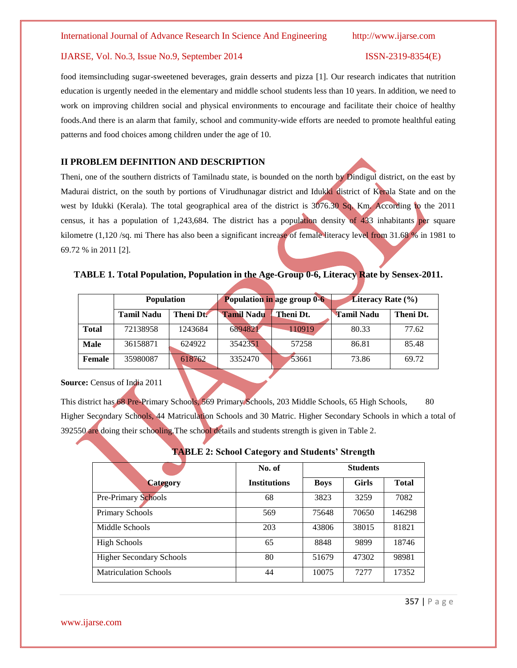### IJARSE, Vol. No.3, Issue No.9, September 2014 ISSN-2319-8354(E)

food itemsincluding sugar-sweetened beverages, grain desserts and pizza [1]. Our research indicates that nutrition education is urgently needed in the elementary and middle school students less than 10 years. In addition, we need to work on improving children social and physical environments to encourage and facilitate their choice of healthy foods.And there is an alarm that family, school and community-wide efforts are needed to promote healthful eating patterns and food choices among children under the age of 10.

### **II PROBLEM DEFINITION AND DESCRIPTION**

Theni, one of the southern districts of Tamilnadu state, is bounded on the north by Dindigul district, on the east by Madurai district, on the south by portions of Virudhunagar district and Idukki district of Kerala State and on the west by Idukki (Kerala). The total geographical area of the district is 3076.30 Sq. Km. According to the 2011 census, it has a population of 1,243,684. The district has a population density of 433 inhabitants per square kilometre (1,120 /sq. mi There has also been a significant increase of female literacy level from 31.68 % in 1981 to 69.72 % in 2011 [2].

### **TABLE 1. Total Population, Population in the Age-Group 0-6, Literacy Rate by Sensex-2011.**

|               | <b>Population</b> |           | Population in age group 0-6 |           | <b>Literacy Rate (%)</b> |           |
|---------------|-------------------|-----------|-----------------------------|-----------|--------------------------|-----------|
|               | <b>Tamil Nadu</b> | Theni Dt. | <b>Tamil Nadu</b>           | Theni Dt. | <b>Tamil Nadu</b>        | Theni Dt. |
| Total         | 72138958          | 1243684   | 6894821                     | 110919    | 80.33                    | 77.62     |
| <b>Male</b>   | 36158871          | 624922    | 3542351                     | 57258     | 86.81                    | 85.48     |
| <b>Female</b> | 35980087          | 618762    | 3352470                     | 53661     | 73.86                    | 69.72     |

### **Source:** Census of India 2011

This district has 68 Pre-Primary Schools, 569 Primary Schools, 203 Middle Schools, 65 High Schools, 80 Higher Secondary Schools, 44 Matriculation Schools and 30 Matric. Higher Secondary Schools in which a total of 392550 are doing their schooling.The school details and students strength is given in Table 2.

|                                 | No. of              |             | <b>Students</b> |              |
|---------------------------------|---------------------|-------------|-----------------|--------------|
| <b>Category</b>                 | <b>Institutions</b> | <b>Boys</b> | <b>Girls</b>    | <b>Total</b> |
| <b>Pre-Primary Schools</b>      | 68                  | 3823        | 3259            | 7082         |
| Primary Schools                 | 569                 | 75648       | 70650           | 146298       |
| Middle Schools                  | 203                 | 43806       | 38015           | 81821        |
| <b>High Schools</b>             | 65                  | 8848        | 9899            | 18746        |
| <b>Higher Secondary Schools</b> | 80                  | 51679       | 47302           | 98981        |
| <b>Matriculation Schools</b>    | 44                  | 10075       | 7277            | 17352        |

### **TABLE 2: School Category and Students' Strength**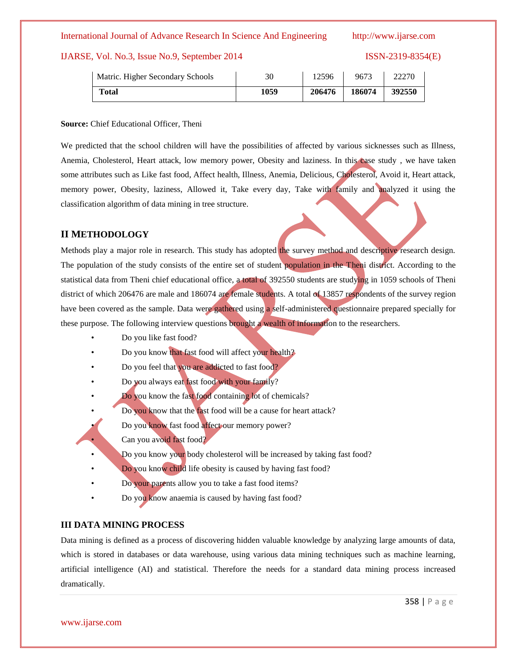### IJARSE, Vol. No.3, Issue No.9, September 2014 ISSN-2319-8354(E)

| Matric. Higher Secondary Schools | 30   | 12596  | 9673   | 22270  |
|----------------------------------|------|--------|--------|--------|
| <b>Total</b>                     | 1059 | 206476 | 186074 | 392550 |

### **Source:** Chief Educational Officer, Theni

We predicted that the school children will have the possibilities of affected by various sicknesses such as Illness, Anemia, Cholesterol, Heart attack, low memory power, Obesity and laziness. In this case study, we have taken some attributes such as Like fast food, Affect health, Illness, Anemia, Delicious, Cholesterol, Avoid it, Heart attack, memory power, Obesity, laziness, Allowed it, Take every day, Take with family and analyzed it using the classification algorithm of data mining in tree structure.

### **II METHODOLOGY**

Methods play a major role in research. This study has adopted the survey method and descriptive research design. The population of the study consists of the entire set of student population in the Theni district. According to the statistical data from Theni chief educational office, a total of 392550 students are studying in 1059 schools of Theni district of which 206476 are male and 186074 are female students. A total of 13857 respondents of the survey region have been covered as the sample. Data were gathered using a self-administered questionnaire prepared specially for these purpose. The following interview questions brought a wealth of information to the researchers.

- Do you like fast food?
- Do you know that fast food will affect your health?
- Do you feel that you are addicted to fast food?
- Do you always eat fast food with your family?
- Do you know the fast food containing lot of chemicals?
- Do you know that the fast food will be a cause for heart attack?
- Do you know fast food affect our memory power?
- Can you avoid fast food?
- Do you know your body cholesterol will be increased by taking fast food?
- Do you know child life obesity is caused by having fast food?
- Do your parents allow you to take a fast food items?
- Do you know anaemia is caused by having fast food?

### **III DATA MINING PROCESS**

Data mining is defined as a process of discovering hidden valuable knowledge by analyzing large amounts of data, which is stored in databases or data warehouse, using various data mining techniques such as machine learning, artificial intelligence (AI) and statistical. Therefore the needs for a standard data mining process increased dramatically.

358 | P a g e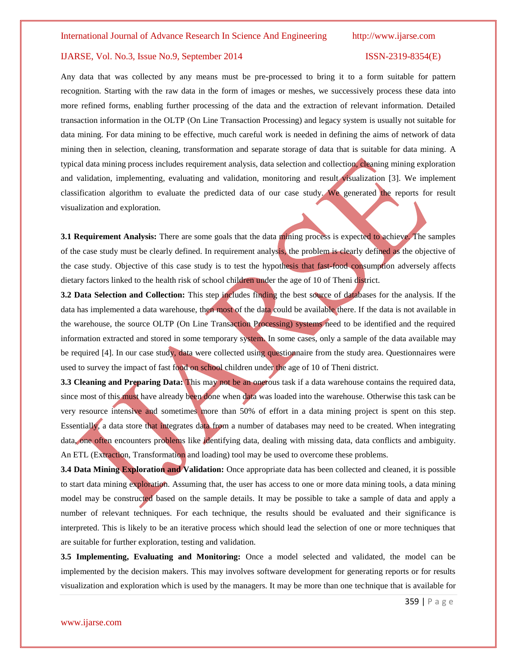Any data that was collected by any means must be pre-processed to bring it to a form suitable for pattern recognition. Starting with the raw data in the form of images or meshes, we successively process these data into more refined forms, enabling further processing of the data and the extraction of relevant information. Detailed transaction information in the OLTP (On Line Transaction Processing) and legacy system is usually not suitable for data mining. For data mining to be effective, much careful work is needed in defining the aims of network of data mining then in selection, cleaning, transformation and separate storage of data that is suitable for data mining. A typical data mining process includes requirement analysis, data selection and collection, cleaning mining exploration and validation, implementing, evaluating and validation, monitoring and result visualization [3]. We implement classification algorithm to evaluate the predicted data of our case study. We generated the reports for result visualization and exploration.

**3.1 Requirement Analysis:** There are some goals that the data mining process is expected to achieve. The samples of the case study must be clearly defined. In requirement analysis, the problem is clearly defined as the objective of the case study. Objective of this case study is to test the hypothesis that fast-food consumption adversely affects dietary factors linked to the health risk of school children under the age of 10 of Theni district.

**3.2 Data Selection and Collection:** This step includes finding the best source of databases for the analysis. If the data has implemented a data warehouse, then most of the data could be available there. If the data is not available in the warehouse, the source OLTP (On Line Transaction Processing) systems need to be identified and the required information extracted and stored in some temporary system. In some cases, only a sample of the data available may be required [4]. In our case study, data were collected using questionnaire from the study area. Questionnaires were used to survey the impact of fast food on school children under the age of 10 of Theni district.

**3.3 Cleaning and Preparing Data:** This may not be an onerous task if a data warehouse contains the required data, since most of this must have already been done when data was loaded into the warehouse. Otherwise this task can be very resource intensive and sometimes more than 50% of effort in a data mining project is spent on this step. Essentially, a data store that integrates data from a number of databases may need to be created. When integrating data, one often encounters problems like identifying data, dealing with missing data, data conflicts and ambiguity. An ETL (Extraction, Transformation and loading) tool may be used to overcome these problems.

**3.4 Data Mining Exploration and Validation:** Once appropriate data has been collected and cleaned, it is possible to start data mining exploration. Assuming that, the user has access to one or more data mining tools, a data mining model may be constructed based on the sample details. It may be possible to take a sample of data and apply a number of relevant techniques. For each technique, the results should be evaluated and their significance is interpreted. This is likely to be an iterative process which should lead the selection of one or more techniques that are suitable for further exploration, testing and validation.

**3.5 Implementing, Evaluating and Monitoring:** Once a model selected and validated, the model can be implemented by the decision makers. This may involves software development for generating reports or for results visualization and exploration which is used by the managers. It may be more than one technique that is available for

359 | P a g e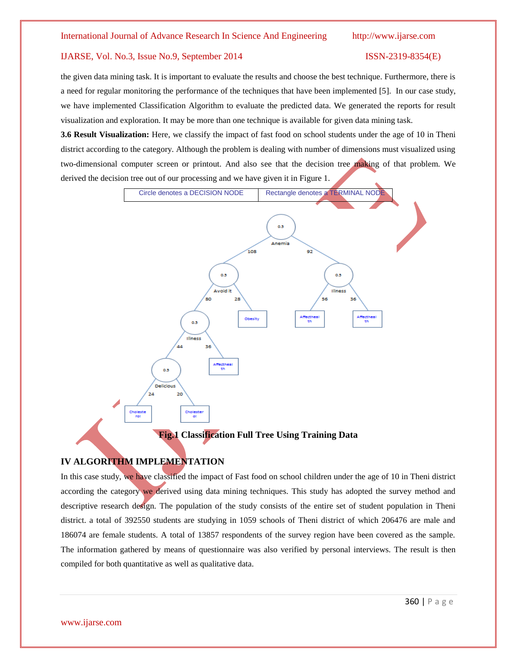the given data mining task. It is important to evaluate the results and choose the best technique. Furthermore, there is a need for regular monitoring the performance of the techniques that have been implemented [5]. In our case study, we have implemented Classification Algorithm to evaluate the predicted data. We generated the reports for result visualization and exploration. It may be more than one technique is available for given data mining task.

**3.6 Result Visualization:** Here, we classify the impact of fast food on school students under the age of 10 in Theni district according to the category. Although the problem is dealing with number of dimensions must visualized using two-dimensional computer screen or printout. And also see that the decision tree making of that problem. We derived the decision tree out of our processing and we have given it in Figure 1.



### **IV ALGORITHM IMPLEMENTATION**

In this case study, we have classified the impact of Fast food on school children under the age of 10 in Theni district according the category we derived using data mining techniques. This study has adopted the survey method and descriptive research design. The population of the study consists of the entire set of student population in Theni district. a total of 392550 students are studying in 1059 schools of Theni district of which 206476 are male and 186074 are female students. A total of 13857 respondents of the survey region have been covered as the sample. The information gathered by means of questionnaire was also verified by personal interviews. The result is then compiled for both quantitative as well as qualitative data.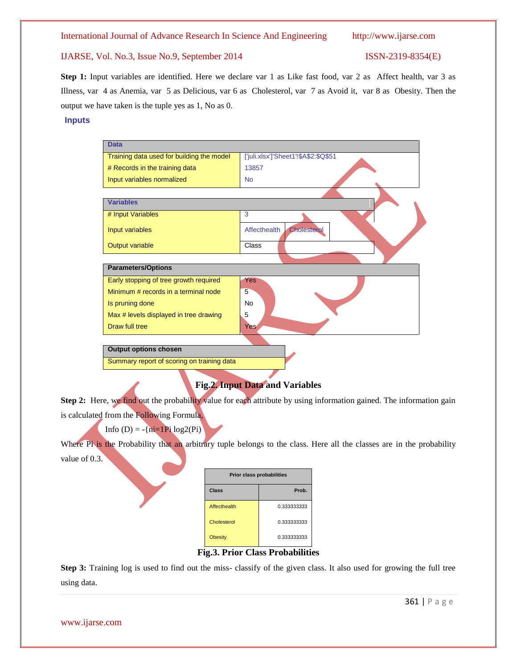**Step 1:** Input variables are identified. Here we declare var 1 as Like fast food, var 2 as Affect health, var 3 as Illness, var 4 as Anemia, var 5 as Delicious, var 6 as Cholesterol, var 7 as Avoid it, var 8 as Obesity. Then the output we have taken is the tuple yes as 1, No as 0.

### **Inputs**



### **Fig.2. Input Data and Variables**

**Step 2:** Here, we find out the probability value for each attribute by using information gained. The information gain is calculated from the Following Formula,

Info (D) =  $-\{ni=1Pi \log(2(Pi))\}$ 

Where Pi is the Probability that an arbitrary tuple belongs to the class. Here all the classes are in the probability value of 0.3.

| <b>Prior class probabilities</b> |             |  |  |  |
|----------------------------------|-------------|--|--|--|
| Class                            | Prob.       |  |  |  |
| Affecthealth                     | 0.333333333 |  |  |  |
| Cholesterol                      | 0.333333333 |  |  |  |
| <b>Obesity</b>                   | 0.333333333 |  |  |  |

**Fig.3. Prior Class Probabilities**

**Step 3:** Training log is used to find out the miss- classify of the given class. It also used for growing the full tree using data.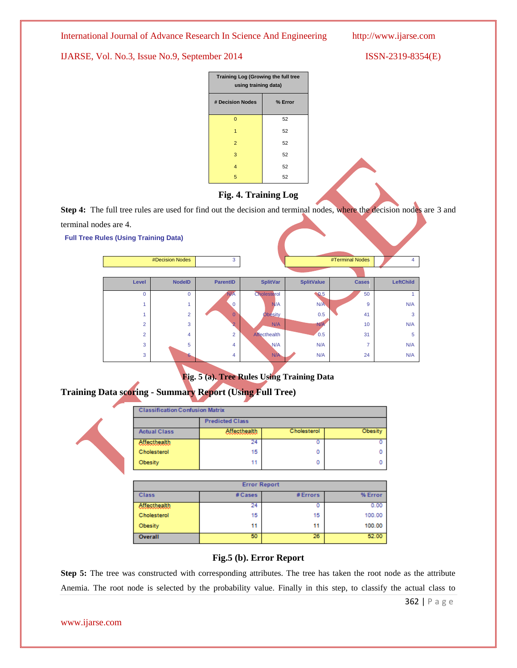IJARSE, Vol. No.3, Issue No.9, September 2014 ISSN-2319-8354(E)

| <b>Training Log (Growing the full tree</b><br>using training data) |         |  |  |
|--------------------------------------------------------------------|---------|--|--|
| # Decision Nodes                                                   | % Error |  |  |
| 0                                                                  | 52      |  |  |
| 1                                                                  | 52      |  |  |
| $\overline{2}$                                                     | 52      |  |  |
| 3                                                                  | 52      |  |  |
| 4                                                                  | 52      |  |  |
| 5                                                                  | 52      |  |  |

### **Fig. 4. Training Log**

**Step 4:** The full tree rules are used for find out the decision and terminal nodes, where the decision nodes are 3 and terminal nodes are 4.

**Full Tree Rules (Using Training Data)**

|                | #Decision Nodes | 3               |                 |                   | #Terminal Nodes          | 4         |
|----------------|-----------------|-----------------|-----------------|-------------------|--------------------------|-----------|
|                |                 |                 |                 |                   |                          |           |
| Level          | <b>NodelD</b>   | <b>ParentID</b> | <b>SplitVar</b> | <b>SplitValue</b> | <b>Cases</b>             | LeftChild |
| $\overline{0}$ | $\mathbf 0$     | N/A             | Cholesterol     | $\bullet$ 0.5     | 50                       |           |
|                | 4               | $\Omega$        | N/A             | N/A               | 9                        | N/A       |
|                | $\overline{2}$  | $\overline{0}$  | <b>Obesity</b>  | 0.5               | 41                       | 3         |
| $\overline{2}$ | 3               | $\overline{2}$  | N/A             | N/A               | 10                       | N/A       |
| $\overline{2}$ | $\overline{4}$  | $\overline{2}$  | Affecthealth    | 0.5               | 31                       | 5         |
| 3              | 5               | $\overline{4}$  | N/A             | N/A               | $\overline{\phantom{a}}$ | N/A       |
| 3              | 6               | 4               | N/A             | N/A               | 24                       | N/A       |
|                |                 |                 |                 |                   |                          |           |

**Fig. 5 (a). Tree Rules Using Training Data**

## **Training Data scoring - Summary Report (Using Full Tree)**

| <b>Classification Confusion Matrix</b> |                        |             |         |  |  |  |
|----------------------------------------|------------------------|-------------|---------|--|--|--|
|                                        | <b>Predicted Class</b> |             |         |  |  |  |
| <b>Actual Class</b>                    | <b>Affecthealth</b>    | Cholesterol | Obesity |  |  |  |
| <b>Affecthealth</b>                    | 24                     |             | 0       |  |  |  |
| Cholesterol                            | 15                     |             | o       |  |  |  |
| Obesity                                | 11                     | ٥           | o       |  |  |  |

| <b>Error Report</b> |         |          |         |  |  |  |
|---------------------|---------|----------|---------|--|--|--|
| <b>Class</b>        | # Cases | # Errors | % Error |  |  |  |
| <b>Affecthealth</b> | 24      | ο        | 0.00    |  |  |  |
| Cholesterol         | 15      | 15       | 100.00  |  |  |  |
| Obesity             | 11      | 11       | 100.00  |  |  |  |
| Overall             | 50      | 26       | 52.00   |  |  |  |

### **Fig.5 (b). Error Report**

**Step 5:** The tree was constructed with corresponding attributes. The tree has taken the root node as the attribute Anemia. The root node is selected by the probability value. Finally in this step, to classify the actual class to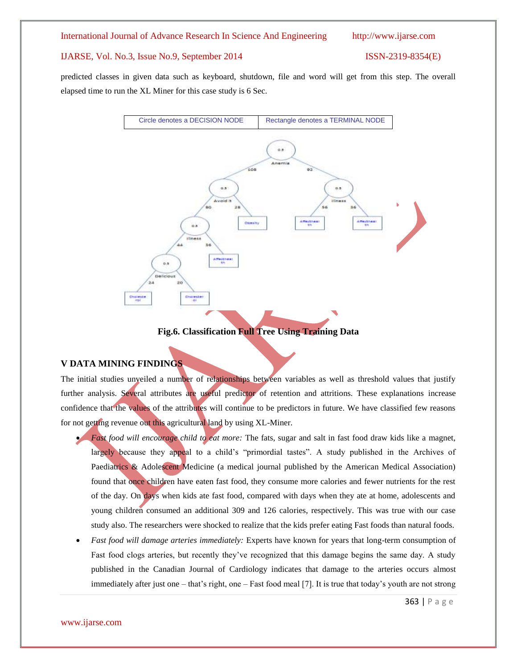predicted classes in given data such as keyboard, shutdown, file and word will get from this step. The overall elapsed time to run the XL Miner for this case study is 6 Sec.



### **Fig.6. Classification Full Tree Using Training Data**

### **V DATA MINING FINDINGS**

The initial studies unveiled a number of relationships between variables as well as threshold values that justify further analysis. Several attributes are useful predictor of retention and attritions. These explanations increase confidence that the values of the attributes will continue to be predictors in future. We have classified few reasons for not getting revenue out this agricultural land by using XL-Miner.

- *Fast food will encourage child to eat more:* The fats, sugar and salt in fast food draw kids like a magnet, largely because they appeal to a child's "primordial tastes". A study published in the Archives of Paediatrics & Adolescent Medicine (a medical journal published by the American Medical Association) found that once children have eaten fast food, they consume more calories and fewer nutrients for the rest of the day. On days when kids ate fast food, compared with days when they ate at home, adolescents and young children consumed an additional 309 and 126 calories, respectively. This was true with our case study also. The researchers were shocked to realize that the kids prefer eating Fast foods than natural foods.
- *Fast food will damage arteries immediately:* Experts have known for years that long-term consumption of Fast food clogs arteries, but recently they've recognized that this damage begins the same day. A study published in the Canadian Journal of Cardiology indicates that damage to the arteries occurs almost immediately after just one – that's right, one – Fast food meal [7]. It is true that today's youth are not strong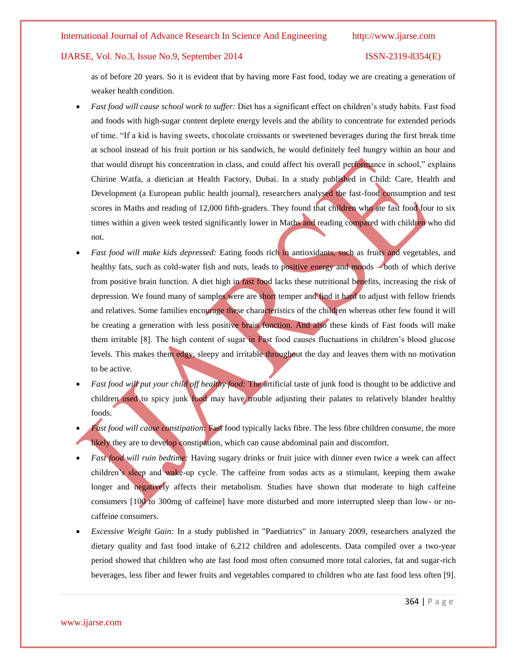as of before 20 years. So it is evident that by having more Fast food, today we are creating a generation of weaker health condition.

- *Fast food will cause school work to suffer:* Diet has a significant effect on children's study habits. Fast food and foods with high-sugar content deplete energy levels and the ability to concentrate for extended periods of time. "If a kid is having sweets, chocolate croissants or sweetened beverages during the first break time at school instead of his fruit portion or his sandwich, he would definitely feel hungry within an hour and that would disrupt his concentration in class, and could affect his overall performance in school," explains Chirine Watfa, a dietician at Health Factory, Dubai. In a study published in Child: Care, Health and Development (a European public health journal), researchers analysed the fast-food consumption and test scores in Maths and reading of 12,000 fifth-graders. They found that children who ate fast food four to six times within a given week tested significantly lower in Maths and reading compared with children who did not.
- *Fast food will make kids depressed:* Eating foods rich in antioxidants, such as fruits and vegetables, and healthy fats, such as cold-water fish and nuts, leads to positive energy and moods – both of which derive from positive brain function. A diet high in fast food lacks these nutritional benefits, increasing the risk of depression. We found many of samples were are short temper and find it hard to adjust with fellow friends and relatives. Some families encourage these characteristics of the children whereas other few found it will be creating a generation with less positive brain function. And also these kinds of Fast foods will make them irritable [8]. The high content of sugar in Fast food causes fluctuations in children's blood glucose levels. This makes them edgy, sleepy and irritable throughout the day and leaves them with no motivation to be active.
- *Fast food will put your child off healthy food:* The artificial taste of junk food is thought to be addictive and children used to spicy junk food may have trouble adjusting their palates to relatively blander healthy foods.
- *Fast food will cause constipation:* Fast food typically lacks fibre. The less fibre children consume, the more likely they are to develop constipation, which can cause abdominal pain and discomfort.
- *Fast food will ruin bedtime:* Having sugary drinks or fruit juice with dinner even twice a week can affect children's sleep and wake-up cycle. The caffeine from sodas acts as a stimulant, keeping them awake longer and negatively affects their metabolism. Studies have shown that moderate to high caffeine consumers [100 to 300mg of caffeine] have more disturbed and more interrupted sleep than low- or nocaffeine consumers.
- *Excessive Weight Gain:* In a study published in "Paediatrics" in January 2009, researchers analyzed the dietary quality and fast food intake of 6,212 children and adolescents. Data compiled over a two-year period showed that children who ate fast food most often consumed more total calories, fat and sugar-rich beverages, less fiber and fewer fruits and vegetables compared to children who ate fast food less often [9].